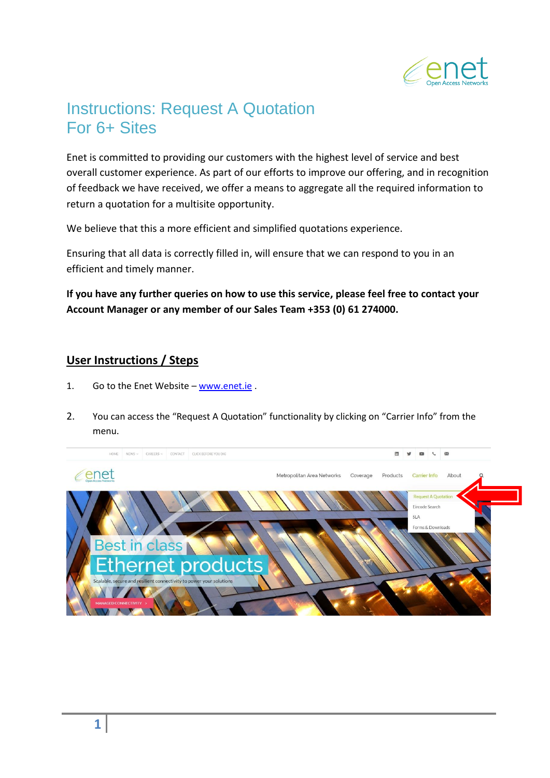

## Instructions: Request A Quotation For 6+ Sites

Enet is committed to providing our customers with the highest level of service and best overall customer experience. As part of our efforts to improve our offering, and in recognition of feedback we have received, we offer a means to aggregate all the required information to return a quotation for a multisite opportunity.

We believe that this a more efficient and simplified quotations experience.

Ensuring that all data is correctly filled in, will ensure that we can respond to you in an efficient and timely manner.

**If you have any further queries on how to use this service, please feel free to contact your Account Manager or any member of our Sales Team +353 (0) 61 274000.**

## **User Instructions / Steps**

- 1. Go to the Enet Website [www.enet.ie](http://www.enet.ie/) .
- 2. You can access the "Request A Quotation" functionality by clicking on "Carrier Info" from the menu.

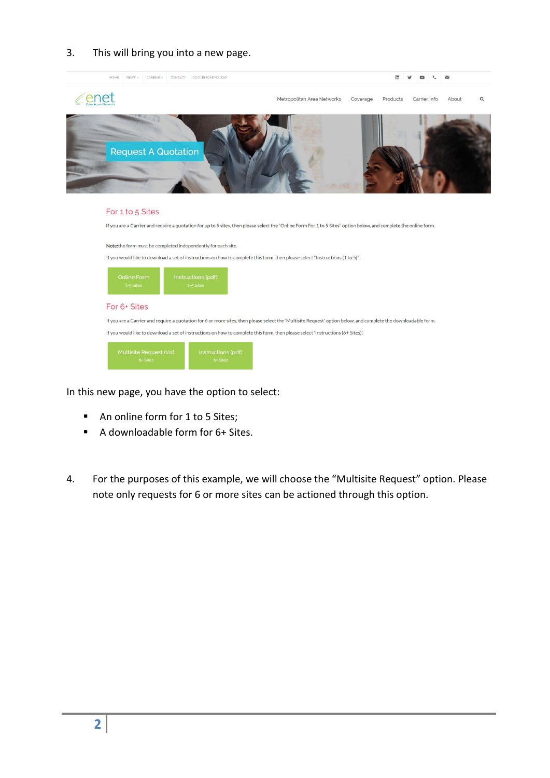## 3. This will bring you into a new page.



In this new page, you have the option to select:

- An online form for 1 to 5 Sites;
- A downloadable form for 6+ Sites.
- 4. For the purposes of this example, we will choose the "Multisite Request" option. Please note only requests for 6 or more sites can be actioned through this option.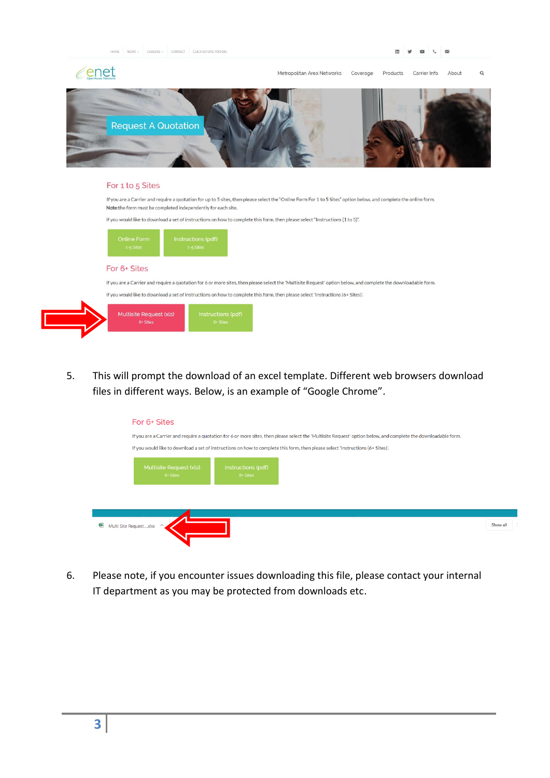CONTACT CLICK BEFORE YOU DK





## For 1 to 5 Sites

If you are a Carrier and require a quotation for up to 5 sites, then please select the "Online Form For 1 to 5 Sites" option below, and complete the online form. Note: the form must be completed independently for each site.

If you would like to download a set of instructions on how to complete this form, then please select "Instructions (1 to 5)".



If you are a Carrier and require a quotation for 6 or more sites, then please select the 'Multisite Request' option below, and complete the downloadable form.

If you would like to download a set of instructions on how to complete this form, then please select 'Instructions (6+ Sites)'.



5. This will prompt the download of an excel template. Different web browsers download files in different ways. Below, is an example of "Google Chrome".

| For 6+ Sites                        |                                |                                                                                                                                                                |          |
|-------------------------------------|--------------------------------|----------------------------------------------------------------------------------------------------------------------------------------------------------------|----------|
|                                     |                                | If you are a Carrier and require a quotation for 6 or more sites, then please select the 'Multisite Request' option below, and complete the downloadable form. |          |
|                                     |                                | If you would like to download a set of instructions on how to complete this form, then please select 'Instructions (6+ Sites)'.                                |          |
| Multisite Request (xls)<br>6+ Sites | Instructions (pdf)<br>6+ Sites |                                                                                                                                                                |          |
|                                     |                                |                                                                                                                                                                |          |
| Multi Site Requestxlsx ^            |                                |                                                                                                                                                                | Show all |

6. Please note, if you encounter issues downloading this file, please contact your internal IT department as you may be protected from downloads etc.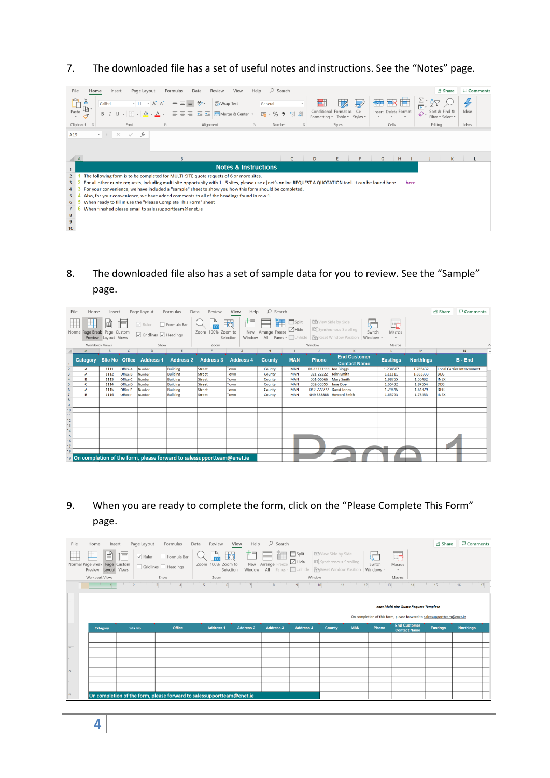7. The downloaded file has a set of useful notes and instructions. See the "Notes" page.

| $O$ Search<br>File<br>Review<br>Home<br>Page Layout<br>Formulas<br>Data<br>View<br>Help<br>Insert                                                                                                                                                                                                                                                                                                                         | <b>B</b> Share                           | <b>□</b> Comments    |
|---------------------------------------------------------------------------------------------------------------------------------------------------------------------------------------------------------------------------------------------------------------------------------------------------------------------------------------------------------------------------------------------------------------------------|------------------------------------------|----------------------|
| $\frac{\Sigma}{\mathbf{E}}$<br>₩<br>₩<br>$\frac{1}{2}$ .<br>$- A^A A^C$<br>Λ<br>ab Wrap Text<br>Calibri<br>$-11$<br>General<br>LB.<br>Cell<br>Conditional Format as<br>Insert Delete Format<br>Paste<br>$\Diamond$<br>$\frac{60}{60}$ - $\frac{100}{60}$<br>三<br>Merge & Center<br>$B$ $I$<br>$\%$<br><b>CG</b> -<br>$+1 + 3 =$<br>U<br>$=$<br>ഗ<br>$A -$<br>$\scriptstyle\rm v$<br>∢<br>Formatting * Table *<br>Styles * | 47<br>Sort & Find &<br>Filter - Select - | $\bigoplus$<br>Ideas |
| Clipboard<br>$-\sqrt{2}$<br>Alignment<br>Styles<br>Cells<br>Font<br>$E_{\rm H}$<br>$\overline{12}$<br>Number<br>$\overline{\Gamma_{\mathbf{X}}}$                                                                                                                                                                                                                                                                          | Editing                                  | Ideas                |
| $-1$<br>A19<br>$\times$<br>$f_x$<br>$\checkmark$                                                                                                                                                                                                                                                                                                                                                                          |                                          |                      |
| $\triangle$ A<br>B<br>C<br>D<br>G<br>$H$                                                                                                                                                                                                                                                                                                                                                                                  | K                                        |                      |
| <b>Notes &amp; Instructions</b><br>$\mathbf{1}$                                                                                                                                                                                                                                                                                                                                                                           |                                          |                      |
| $\overline{c}$<br>The following form is to be completed for MULTI-SITE quote requets of 6 or more sites.                                                                                                                                                                                                                                                                                                                  |                                          |                      |
| For all other quote requests, including multi-site opportunity with 1 - 5 sites, please use e   net's online REQUEST A QUOTATION tool. It can be found here<br>3<br>here                                                                                                                                                                                                                                                  |                                          |                      |
| For your convenience, we have included a "sample" sheet to show you how this form should be completed.<br>4                                                                                                                                                                                                                                                                                                               |                                          |                      |
| Also, for your convenience, we have added comments to all of the headings found in row 1.<br>5                                                                                                                                                                                                                                                                                                                            |                                          |                      |
| When ready to fill in use the "Please Complete This Form" sheet<br>6                                                                                                                                                                                                                                                                                                                                                      |                                          |                      |
| $\overline{7}$<br>6<br>When finished please email to salessupportteam@enet.ie                                                                                                                                                                                                                                                                                                                                             |                                          |                      |
| $\begin{array}{c} 8 \\ 9 \end{array}$                                                                                                                                                                                                                                                                                                                                                                                     |                                          |                      |
|                                                                                                                                                                                                                                                                                                                                                                                                                           |                                          |                      |
| 10                                                                                                                                                                                                                                                                                                                                                                                                                        |                                          |                      |

8. The downloaded file also has a set of sample data for you to review. See the "Sample" page.

|                         | File<br>Home      | Insert                                   |          | Page Layout                                              | Formulas         | Review<br>Data                                                           | View<br>Help                     | $O$ Search            |                               |                        |                                                                                                                          |                                          |                  | <b>B</b> Share | □ Comments                 |  |
|-------------------------|-------------------|------------------------------------------|----------|----------------------------------------------------------|------------------|--------------------------------------------------------------------------|----------------------------------|-----------------------|-------------------------------|------------------------|--------------------------------------------------------------------------------------------------------------------------|------------------------------------------|------------------|----------------|----------------------------|--|
|                         | Normal Page Break | 宙<br>Page Custom<br>Preview Layout Views | $=$      | $\vee$ Ruler<br>$\sqrt{ }$ Gridlines $\sqrt{ }$ Headings | Formula Bar      | Zoom 100% Zoom to                                                        | Eò<br>New<br>Window<br>Selection | Arrange Freeze<br>All | $\equiv$ Split<br>$\Box$ Hide |                        | <b>BB</b> View Side by Side<br>ID Synchronous Scrolling<br>Switch<br>Panes v Unhide   Preset Window Position   Windows v | l.<br>Macros<br>$\overline{\phantom{a}}$ |                  |                |                            |  |
|                         | Workbook Views    |                                          |          | Show                                                     |                  | Zoom                                                                     |                                  |                       |                               | Window                 |                                                                                                                          | Macros                                   |                  |                |                            |  |
|                         | A                 |                                          |          | D                                                        |                  |                                                                          | G                                | H                     |                               |                        |                                                                                                                          |                                          | M                |                | N                          |  |
|                         | Category          | Site No Office                           |          | <b>Address 1</b>                                         | <b>Address 2</b> | <b>Address 3</b>                                                         | <b>Address 4</b>                 | <b>County</b>         | <b>MAN</b>                    | <b>Phone</b>           | <b>End Customer</b><br><b>Contact Name</b>                                                                               | <b>Eastings</b>                          | <b>Northings</b> |                | <b>B</b> - End             |  |
| $\overline{2}$          | $\mathbf{A}$      | 1111                                     | Office A | Number                                                   | <b>Building</b>  | Street                                                                   | Town                             | County                | <b>MAN</b>                    | 01-11111111 Joe Bloggs |                                                                                                                          | 1.234567                                 | 1.765432         |                | Local Carrier Interconnect |  |
| $\overline{\mathbf{3}}$ | А                 | 1112                                     | Office B | Number                                                   | <b>Building</b>  | <b>Street</b>                                                            | Town                             | County                | <b>MAN</b>                    | 021-22222              | John Smith                                                                                                               | 1.11111                                  | 1.333333         | <b>DEG</b>     |                            |  |
| $\overline{4}$          | B                 | 1113                                     | Office C | Number                                                   | <b>Building</b>  | <b>Street</b>                                                            | Town                             | County                | <b>MAN</b>                    | 061-66666              | <b>Mary Smith</b>                                                                                                        | 1.98765                                  | 1.56432          | <b>INEX</b>    |                            |  |
| 5                       | c                 | 1114                                     | Office D | Number                                                   | <b>Building</b>  | Street                                                                   | Town                             | County                | <b>MAN</b>                    | 052-55555              | Jane Doe                                                                                                                 | 1.65432                                  | 1.87654          | <b>DEG</b>     |                            |  |
| 6                       | Α                 | 1115                                     | Office E | Number                                                   | <b>Building</b>  | Street                                                                   | Town                             | County                | <b>MAN</b>                    | 042-777777             | David Jones                                                                                                              | 1.79845                                  | 1.64879          | <b>DEG</b>     |                            |  |
| $\overline{7}$          | B                 | 1116                                     | Office F | Number                                                   | <b>Building</b>  | Street                                                                   | Town                             | County                | <b>MAN</b>                    | 049 888888             | <b>Howard Smith</b>                                                                                                      | 1.65793                                  | 1.78453          | <b>INEX</b>    |                            |  |
| 8                       |                   |                                          |          |                                                          |                  |                                                                          |                                  |                       |                               |                        |                                                                                                                          |                                          |                  |                |                            |  |
| $\overline{9}$          |                   |                                          |          |                                                          |                  |                                                                          |                                  |                       |                               |                        |                                                                                                                          |                                          |                  |                |                            |  |
| 10                      |                   |                                          |          |                                                          |                  |                                                                          |                                  |                       |                               |                        |                                                                                                                          |                                          |                  |                |                            |  |
| 11                      |                   |                                          |          |                                                          |                  |                                                                          |                                  |                       |                               |                        |                                                                                                                          |                                          |                  |                |                            |  |
| 12                      |                   |                                          |          |                                                          |                  |                                                                          |                                  |                       |                               |                        |                                                                                                                          |                                          |                  |                |                            |  |
| 13                      |                   |                                          |          |                                                          |                  |                                                                          |                                  |                       |                               |                        |                                                                                                                          |                                          |                  |                |                            |  |
| 14                      |                   |                                          |          |                                                          |                  |                                                                          |                                  |                       |                               |                        |                                                                                                                          |                                          |                  |                |                            |  |
| 15                      |                   |                                          |          |                                                          |                  |                                                                          |                                  |                       |                               |                        |                                                                                                                          |                                          |                  |                |                            |  |
| 16<br>17                |                   |                                          |          |                                                          |                  |                                                                          |                                  |                       |                               |                        |                                                                                                                          |                                          |                  |                |                            |  |
| 18                      |                   |                                          |          |                                                          |                  |                                                                          |                                  |                       |                               |                        |                                                                                                                          |                                          |                  |                |                            |  |
|                         |                   |                                          |          |                                                          |                  |                                                                          |                                  |                       |                               |                        |                                                                                                                          |                                          |                  |                |                            |  |
|                         |                   |                                          |          |                                                          |                  | 19 On completion of the form, please forward to salessupportteam@enet.ie |                                  |                       |                               |                        |                                                                                                                          |                                          |                  |                |                            |  |

9. When you are ready to complete the form, click on the "Please Complete This Form" page.

| File              | Home<br>Insert                                                        | Page Layout            | Formulas<br>Data                                                      | Review                                                            | View<br>Help     | $O$ Search                |                                                                        |                                                                |            |                          |                                                                        | <b>B</b> Share     | Comments                      |
|-------------------|-----------------------------------------------------------------------|------------------------|-----------------------------------------------------------------------|-------------------------------------------------------------------|------------------|---------------------------|------------------------------------------------------------------------|----------------------------------------------------------------|------------|--------------------------|------------------------------------------------------------------------|--------------------|-------------------------------|
|                   | 耳<br>圃<br>íē<br>Normal Page Break Page Custom<br>Preview Layout Views | $\boxed{\smile}$ Ruler | Formula Bar<br>Gridlines   Headings                                   | $\mathbb{E}$<br>$\frac{P}{100}$<br>Zoom 100% Zoom to<br>Selection | Window           | New Arrange Freeze<br>All | $\Box$ Split<br>$\Box$ Hide<br>Panes v Unhide Br Reset Window Position | <b>DD</b> View Side by Side<br><b>ID</b> Synchronous Scrolling |            | ¢<br>Switch<br>Windows * | l,<br>Macros                                                           |                    |                               |
|                   | Workbook Views                                                        |                        | Show                                                                  | Zoom                                                              |                  |                           | Window                                                                 |                                                                |            |                          | Macros                                                                 |                    |                               |
|                   |                                                                       | $\vert$                |                                                                       | $\overline{5}$<br>$\epsilon$                                      |                  | 8                         | 9                                                                      | 10<br>11                                                       | 12         | 13<br>T.                 | $14$                                                                   | 15<br>The Contract | <b>TELEVISION</b><br>16<br>17 |
|                   |                                                                       |                        |                                                                       |                                                                   |                  |                           |                                                                        |                                                                |            |                          |                                                                        |                    |                               |
| $\overline{r}$    |                                                                       |                        |                                                                       |                                                                   |                  |                           |                                                                        |                                                                |            |                          |                                                                        |                    |                               |
|                   |                                                                       |                        |                                                                       |                                                                   |                  |                           |                                                                        |                                                                |            |                          | enet Multi-site Quote Request Template                                 |                    |                               |
|                   |                                                                       |                        |                                                                       |                                                                   |                  |                           |                                                                        |                                                                |            |                          | On completion of this form, please forward to salessupportteam@enet.ie |                    |                               |
|                   | Category                                                              | <b>Site No</b>         | <b>Office</b>                                                         | <b>Address 1</b>                                                  | <b>Address 2</b> | <b>Address 3</b>          | <b>Address 4</b>                                                       | <b>County</b>                                                  | <b>MAN</b> | Phone                    | <b>End Customer</b><br><b>Contact Name</b>                             | <b>Eastings</b>    | <b>Northings</b>              |
|                   |                                                                       |                        |                                                                       |                                                                   |                  |                           |                                                                        |                                                                |            |                          |                                                                        |                    |                               |
|                   |                                                                       |                        |                                                                       |                                                                   |                  |                           |                                                                        |                                                                |            |                          |                                                                        |                    |                               |
|                   |                                                                       |                        |                                                                       |                                                                   |                  |                           |                                                                        |                                                                |            |                          |                                                                        |                    |                               |
| $\equiv$          |                                                                       |                        |                                                                       |                                                                   |                  |                           |                                                                        |                                                                |            |                          |                                                                        |                    |                               |
|                   |                                                                       |                        |                                                                       |                                                                   |                  |                           |                                                                        |                                                                |            |                          |                                                                        |                    |                               |
|                   |                                                                       |                        |                                                                       |                                                                   |                  |                           |                                                                        |                                                                |            |                          |                                                                        |                    |                               |
| $\overline{\sim}$ |                                                                       |                        |                                                                       |                                                                   |                  |                           |                                                                        |                                                                |            |                          |                                                                        |                    |                               |
|                   |                                                                       |                        |                                                                       |                                                                   |                  |                           |                                                                        |                                                                |            |                          |                                                                        |                    |                               |
| $\overline{m}$    |                                                                       |                        | On completion of the form, please forward to salessupportteam@enet.ie |                                                                   |                  |                           |                                                                        |                                                                |            |                          |                                                                        |                    |                               |